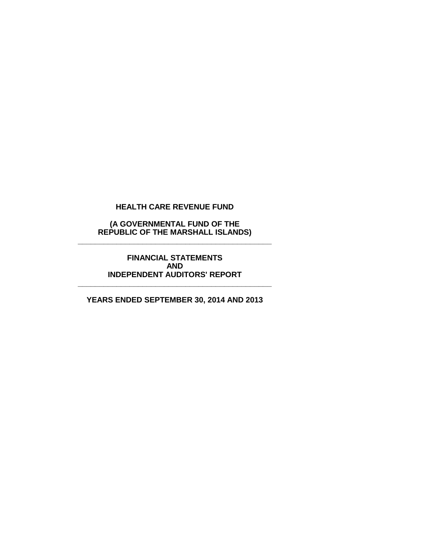**(A GOVERNMENTAL FUND OF THE REPUBLIC OF THE MARSHALL ISLANDS) \_\_\_\_\_\_\_\_\_\_\_\_\_\_\_\_\_\_\_\_\_\_\_\_\_\_\_\_\_\_\_\_\_\_\_\_\_\_\_\_\_\_\_\_\_**

> **FINANCIAL STATEMENTS AND INDEPENDENT AUDITORS' REPORT**

**\_\_\_\_\_\_\_\_\_\_\_\_\_\_\_\_\_\_\_\_\_\_\_\_\_\_\_\_\_\_\_\_\_\_\_\_\_\_\_\_\_\_\_\_\_**

**YEARS ENDED SEPTEMBER 30, 2014 AND 2013**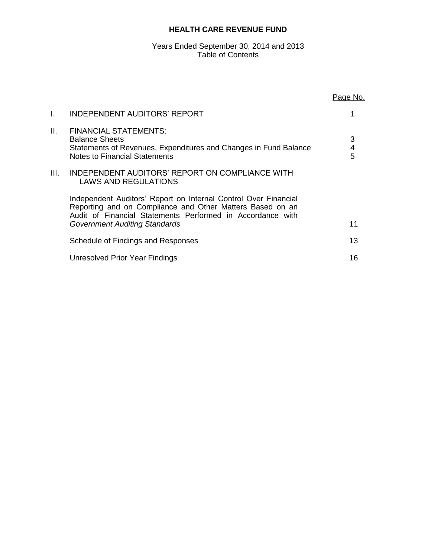# Years Ended September 30, 2014 and 2013 Table of Contents

|     |                                                                                                                                                                                                                                    | Page No.    |
|-----|------------------------------------------------------------------------------------------------------------------------------------------------------------------------------------------------------------------------------------|-------------|
| I.  | <b>INDEPENDENT AUDITORS' REPORT</b>                                                                                                                                                                                                |             |
| II. | <b>FINANCIAL STATEMENTS:</b><br><b>Balance Sheets</b><br>Statements of Revenues, Expenditures and Changes in Fund Balance<br>Notes to Financial Statements                                                                         | 3<br>4<br>5 |
| Ш.  | INDEPENDENT AUDITORS' REPORT ON COMPLIANCE WITH<br>LAWS AND REGULATIONS                                                                                                                                                            |             |
|     | Independent Auditors' Report on Internal Control Over Financial<br>Reporting and on Compliance and Other Matters Based on an<br>Audit of Financial Statements Performed in Accordance with<br><b>Government Auditing Standards</b> | 11          |
|     | Schedule of Findings and Responses                                                                                                                                                                                                 | 13          |
|     | Unresolved Prior Year Findings                                                                                                                                                                                                     | 16          |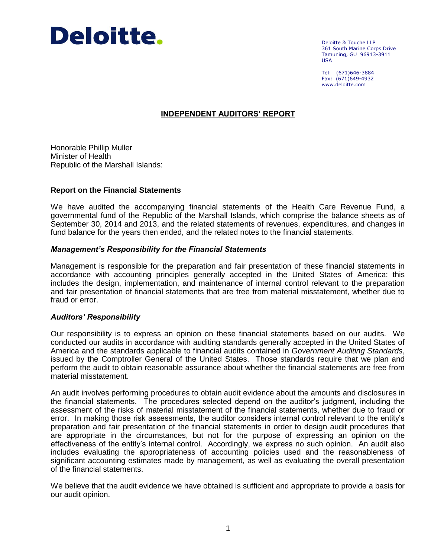

Deloitte & Touche LLP 361 South Marine Corps Drive Tamuning, GU 96913-3911 USA

Tel: (671)646-3884 Fax: (671)649-4932 www.deloitte.com

# **INDEPENDENT AUDITORS' REPORT**

Honorable Phillip Muller Minister of Health Republic of the Marshall Islands:

#### **Report on the Financial Statements**

We have audited the accompanying financial statements of the Health Care Revenue Fund, a governmental fund of the Republic of the Marshall Islands, which comprise the balance sheets as of September 30, 2014 and 2013, and the related statements of revenues, expenditures, and changes in fund balance for the years then ended, and the related notes to the financial statements.

#### *Management's Responsibility for the Financial Statements*

Management is responsible for the preparation and fair presentation of these financial statements in accordance with accounting principles generally accepted in the United States of America; this includes the design, implementation, and maintenance of internal control relevant to the preparation and fair presentation of financial statements that are free from material misstatement, whether due to fraud or error.

#### *Auditors' Responsibility*

Our responsibility is to express an opinion on these financial statements based on our audits. We conducted our audits in accordance with auditing standards generally accepted in the United States of America and the standards applicable to financial audits contained in *Government Auditing Standards*, issued by the Comptroller General of the United States. Those standards require that we plan and perform the audit to obtain reasonable assurance about whether the financial statements are free from material misstatement.

An audit involves performing procedures to obtain audit evidence about the amounts and disclosures in the financial statements. The procedures selected depend on the auditor's judgment, including the assessment of the risks of material misstatement of the financial statements, whether due to fraud or error. In making those risk assessments, the auditor considers internal control relevant to the entity's preparation and fair presentation of the financial statements in order to design audit procedures that are appropriate in the circumstances, but not for the purpose of expressing an opinion on the effectiveness of the entity's internal control. Accordingly, we express no such opinion. An audit also includes evaluating the appropriateness of accounting policies used and the reasonableness of significant accounting estimates made by management, as well as evaluating the overall presentation of the financial statements.

We believe that the audit evidence we have obtained is sufficient and appropriate to provide a basis for our audit opinion.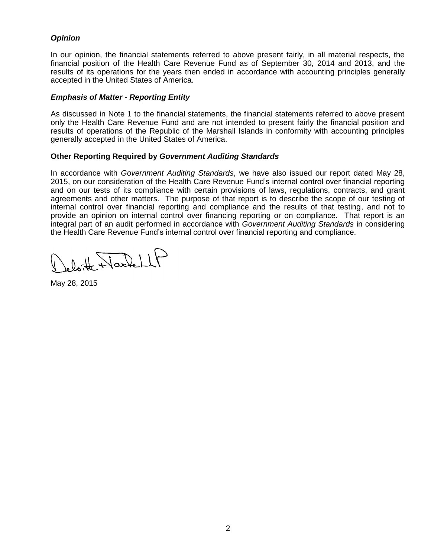# *Opinion*

In our opinion, the financial statements referred to above present fairly, in all material respects, the financial position of the Health Care Revenue Fund as of September 30, 2014 and 2013, and the results of its operations for the years then ended in accordance with accounting principles generally accepted in the United States of America.

# *Emphasis of Matter - Reporting Entity*

As discussed in Note 1 to the financial statements, the financial statements referred to above present only the Health Care Revenue Fund and are not intended to present fairly the financial position and results of operations of the Republic of the Marshall Islands in conformity with accounting principles generally accepted in the United States of America.

# **Other Reporting Required by** *Government Auditing Standards*

In accordance with *Government Auditing Standards*, we have also issued our report dated May 28, 2015, on our consideration of the Health Care Revenue Fund's internal control over financial reporting and on our tests of its compliance with certain provisions of laws, regulations, contracts, and grant agreements and other matters. The purpose of that report is to describe the scope of our testing of internal control over financial reporting and compliance and the results of that testing, and not to provide an opinion on internal control over financing reporting or on compliance. That report is an integral part of an audit performed in accordance with *Government Auditing Standards* in considering the Health Care Revenue Fund's internal control over financial reporting and compliance.

o loite Narbell

May 28, 2015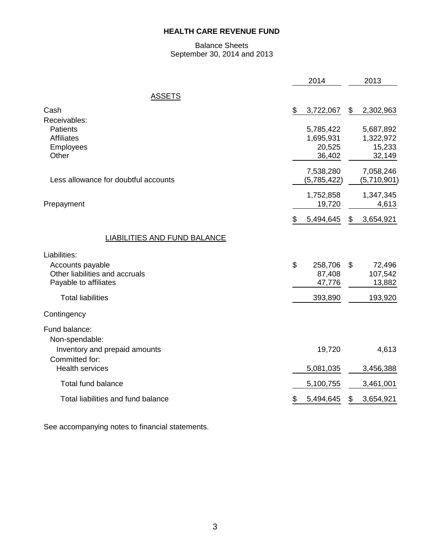# Balance Sheets September 30, 2014 and 2013

|                                                                                                              | 2014                                       | 2013                                       |
|--------------------------------------------------------------------------------------------------------------|--------------------------------------------|--------------------------------------------|
| <b>ASSETS</b>                                                                                                |                                            |                                            |
| Cash                                                                                                         | \$<br>3,722,067                            | \$<br>2,302,963                            |
| Receivables:<br><b>Patients</b><br><b>Affiliates</b><br>Employees<br>Other                                   | 5,785,422<br>1,695,931<br>20,525<br>36,402 | 5,687,892<br>1,322,972<br>15,233<br>32,149 |
| Less allowance for doubtful accounts                                                                         | 7,538,280<br>(5,785,422)                   | 7,058,246<br>(5,710,901)                   |
| Prepayment                                                                                                   | 1,752,858<br>19,720                        | 1,347,345<br>4,613                         |
|                                                                                                              | \$<br>5,494,645                            | \$<br>3,654,921                            |
| <b>LIABILITIES AND FUND BALANCE</b>                                                                          |                                            |                                            |
| Liabilities:<br>Accounts payable<br>Other liabilities and accruals<br>Payable to affiliates                  | \$<br>258,706<br>87,408<br>47,776          | \$<br>72,496<br>107,542<br>13,882          |
| <b>Total liabilities</b>                                                                                     | 393,890                                    | 193,920                                    |
| Contingency                                                                                                  |                                            |                                            |
| Fund balance:<br>Non-spendable:<br>Inventory and prepaid amounts<br>Committed for:<br><b>Health services</b> | 19,720<br>5,081,035                        | 4,613<br>3,456,388                         |
| <b>Total fund balance</b>                                                                                    | 5,100,755                                  | 3,461,001                                  |
| Total liabilities and fund balance                                                                           | \$<br>5,494,645                            | \$<br>3,654,921                            |

See accompanying notes to financial statements.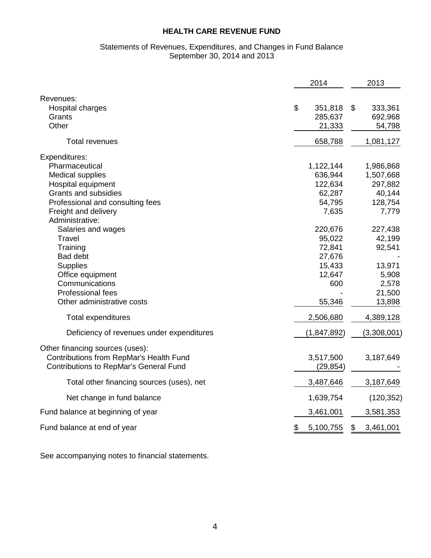### Statements of Revenues, Expenditures, and Changes in Fund Balance September 30, 2014 and 2013

|                                               |                           | 2014          | 2013            |
|-----------------------------------------------|---------------------------|---------------|-----------------|
| Revenues:                                     |                           |               |                 |
| Hospital charges                              | $\boldsymbol{\mathsf{S}}$ | 351,818       | \$<br>333,361   |
| Grants                                        |                           | 285,637       | 692,968         |
| Other                                         |                           | 21,333        | 54,798          |
| <b>Total revenues</b>                         |                           | 658,788       | 1,081,127       |
| Expenditures:                                 |                           |               |                 |
| Pharmaceutical                                |                           | 1,122,144     | 1,986,868       |
| <b>Medical supplies</b>                       |                           | 636,944       | 1,507,668       |
| Hospital equipment                            |                           | 122,634       | 297,882         |
| <b>Grants and subsidies</b>                   |                           | 62,287        | 40,144          |
| Professional and consulting fees              |                           | 54,795        | 128,754         |
| Freight and delivery<br>Administrative:       |                           | 7,635         | 7,779           |
| Salaries and wages                            |                           | 220,676       | 227,438         |
| Travel                                        |                           | 95,022        | 42,199          |
| Training                                      |                           | 72,841        | 92,541          |
| <b>Bad debt</b>                               |                           | 27,676        |                 |
| <b>Supplies</b>                               |                           | 15,433        | 13,971          |
| Office equipment                              |                           | 12,647        | 5,908           |
| Communications                                |                           | 600           | 2,578           |
| Professional fees                             |                           |               | 21,500          |
| Other administrative costs                    |                           | 55,346        | 13,898          |
| <b>Total expenditures</b>                     |                           | 2,506,680     | 4,389,128       |
| Deficiency of revenues under expenditures     |                           | (1, 847, 892) | (3,308,001)     |
| Other financing sources (uses):               |                           |               |                 |
| Contributions from RepMar's Health Fund       |                           | 3,517,500     | 3,187,649       |
| <b>Contributions to RepMar's General Fund</b> |                           | (29, 854)     |                 |
| Total other financing sources (uses), net     |                           | 3,487,646     | 3,187,649       |
| Net change in fund balance                    |                           | 1,639,754     | (120, 352)      |
| Fund balance at beginning of year             |                           | 3,461,001     | 3,581,353       |
| Fund balance at end of year                   | \$                        | 5,100,755     | \$<br>3,461,001 |

See accompanying notes to financial statements.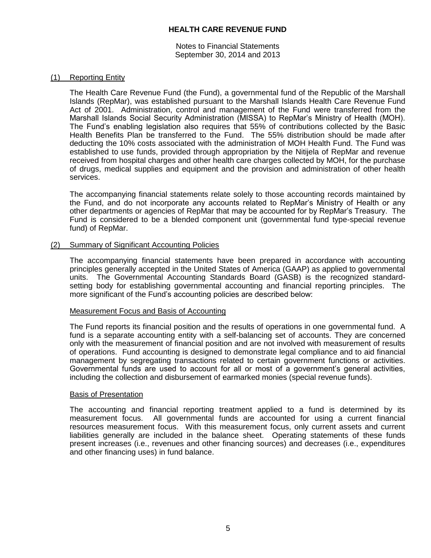Notes to Financial Statements September 30, 2014 and 2013

#### (1) Reporting Entity

The Health Care Revenue Fund (the Fund), a governmental fund of the Republic of the Marshall Islands (RepMar), was established pursuant to the Marshall Islands Health Care Revenue Fund Act of 2001. Administration, control and management of the Fund were transferred from the Marshall Islands Social Security Administration (MISSA) to RepMar's Ministry of Health (MOH). The Fund's enabling legislation also requires that 55% of contributions collected by the Basic Health Benefits Plan be transferred to the Fund. The 55% distribution should be made after deducting the 10% costs associated with the administration of MOH Health Fund. The Fund was established to use funds, provided through appropriation by the Nitijela of RepMar and revenue received from hospital charges and other health care charges collected by MOH, for the purchase of drugs, medical supplies and equipment and the provision and administration of other health services.

The accompanying financial statements relate solely to those accounting records maintained by the Fund, and do not incorporate any accounts related to RepMar's Ministry of Health or any other departments or agencies of RepMar that may be accounted for by RepMar's Treasury. The Fund is considered to be a blended component unit (governmental fund type-special revenue fund) of RepMar.

#### (2) Summary of Significant Accounting Policies

The accompanying financial statements have been prepared in accordance with accounting principles generally accepted in the United States of America (GAAP) as applied to governmental units. The Governmental Accounting Standards Board (GASB) is the recognized standardsetting body for establishing governmental accounting and financial reporting principles. The more significant of the Fund's accounting policies are described below:

### Measurement Focus and Basis of Accounting

The Fund reports its financial position and the results of operations in one governmental fund. A fund is a separate accounting entity with a self-balancing set of accounts. They are concerned only with the measurement of financial position and are not involved with measurement of results of operations. Fund accounting is designed to demonstrate legal compliance and to aid financial management by segregating transactions related to certain government functions or activities. Governmental funds are used to account for all or most of a government's general activities, including the collection and disbursement of earmarked monies (special revenue funds).

#### Basis of Presentation

The accounting and financial reporting treatment applied to a fund is determined by its measurement focus. All governmental funds are accounted for using a current financial resources measurement focus. With this measurement focus, only current assets and current liabilities generally are included in the balance sheet. Operating statements of these funds present increases (i.e., revenues and other financing sources) and decreases (i.e., expenditures and other financing uses) in fund balance.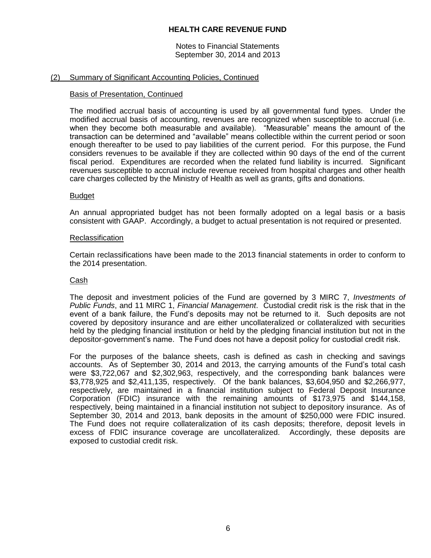Notes to Financial Statements September 30, 2014 and 2013

### (2) Summary of Significant Accounting Policies, Continued

#### Basis of Presentation, Continued

The modified accrual basis of accounting is used by all governmental fund types. Under the modified accrual basis of accounting, revenues are recognized when susceptible to accrual (i.e. when they become both measurable and available). "Measurable" means the amount of the transaction can be determined and "available" means collectible within the current period or soon enough thereafter to be used to pay liabilities of the current period. For this purpose, the Fund considers revenues to be available if they are collected within 90 days of the end of the current fiscal period. Expenditures are recorded when the related fund liability is incurred. Significant revenues susceptible to accrual include revenue received from hospital charges and other health care charges collected by the Ministry of Health as well as grants, gifts and donations.

### Budget

An annual appropriated budget has not been formally adopted on a legal basis or a basis consistent with GAAP. Accordingly, a budget to actual presentation is not required or presented.

#### **Reclassification**

Certain reclassifications have been made to the 2013 financial statements in order to conform to the 2014 presentation.

### Cash

The deposit and investment policies of the Fund are governed by 3 MIRC 7, *Investments of Public Funds*, and 11 MIRC 1, *Financial Management*. Custodial credit risk is the risk that in the event of a bank failure, the Fund's deposits may not be returned to it. Such deposits are not covered by depository insurance and are either uncollateralized or collateralized with securities held by the pledging financial institution or held by the pledging financial institution but not in the depositor-government's name. The Fund does not have a deposit policy for custodial credit risk.

For the purposes of the balance sheets, cash is defined as cash in checking and savings accounts. As of September 30, 2014 and 2013, the carrying amounts of the Fund's total cash were \$3,722,067 and \$2,302,963, respectively, and the corresponding bank balances were \$3,778,925 and \$2,411,135, respectively. Of the bank balances, \$3,604,950 and \$2,266,977, respectively, are maintained in a financial institution subject to Federal Deposit Insurance Corporation (FDIC) insurance with the remaining amounts of \$173,975 and \$144,158, respectively, being maintained in a financial institution not subject to depository insurance. As of September 30, 2014 and 2013, bank deposits in the amount of \$250,000 were FDIC insured. The Fund does not require collateralization of its cash deposits; therefore, deposit levels in excess of FDIC insurance coverage are uncollateralized. Accordingly, these deposits are exposed to custodial credit risk.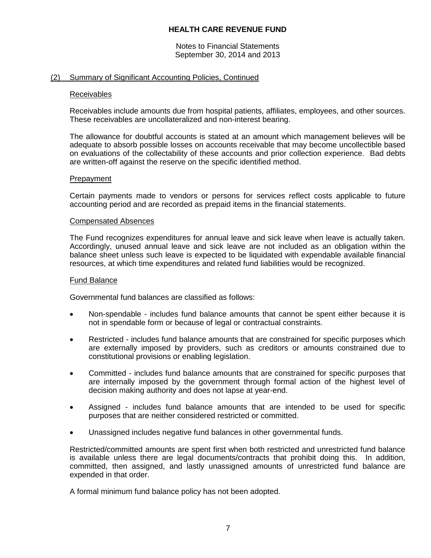Notes to Financial Statements September 30, 2014 and 2013

### (2) Summary of Significant Accounting Policies, Continued

#### Receivables

Receivables include amounts due from hospital patients, affiliates, employees, and other sources. These receivables are uncollateralized and non-interest bearing.

The allowance for doubtful accounts is stated at an amount which management believes will be adequate to absorb possible losses on accounts receivable that may become uncollectible based on evaluations of the collectability of these accounts and prior collection experience. Bad debts are written-off against the reserve on the specific identified method.

#### Prepayment

Certain payments made to vendors or persons for services reflect costs applicable to future accounting period and are recorded as prepaid items in the financial statements.

#### Compensated Absences

The Fund recognizes expenditures for annual leave and sick leave when leave is actually taken. Accordingly, unused annual leave and sick leave are not included as an obligation within the balance sheet unless such leave is expected to be liquidated with expendable available financial resources, at which time expenditures and related fund liabilities would be recognized.

#### Fund Balance

Governmental fund balances are classified as follows:

- Non-spendable includes fund balance amounts that cannot be spent either because it is not in spendable form or because of legal or contractual constraints.
- Restricted includes fund balance amounts that are constrained for specific purposes which are externally imposed by providers, such as creditors or amounts constrained due to constitutional provisions or enabling legislation.
- Committed includes fund balance amounts that are constrained for specific purposes that are internally imposed by the government through formal action of the highest level of decision making authority and does not lapse at year-end.
- Assigned includes fund balance amounts that are intended to be used for specific purposes that are neither considered restricted or committed.
- Unassigned includes negative fund balances in other governmental funds.

Restricted/committed amounts are spent first when both restricted and unrestricted fund balance is available unless there are legal documents/contracts that prohibit doing this. In addition, committed, then assigned, and lastly unassigned amounts of unrestricted fund balance are expended in that order.

A formal minimum fund balance policy has not been adopted.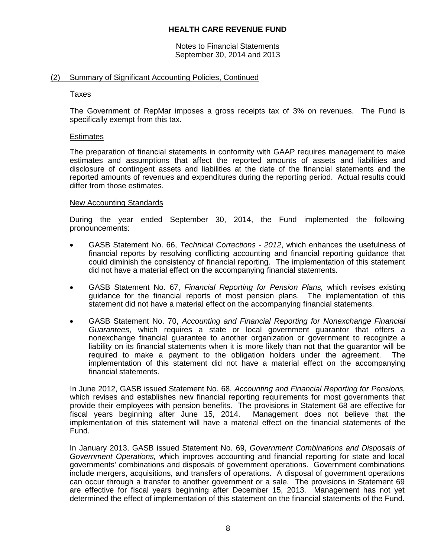Notes to Financial Statements September 30, 2014 and 2013

### (2) Summary of Significant Accounting Policies, Continued

#### Taxes

The Government of RepMar imposes a gross receipts tax of 3% on revenues. The Fund is specifically exempt from this tax.

#### **Estimates**

The preparation of financial statements in conformity with GAAP requires management to make estimates and assumptions that affect the reported amounts of assets and liabilities and disclosure of contingent assets and liabilities at the date of the financial statements and the reported amounts of revenues and expenditures during the reporting period. Actual results could differ from those estimates.

#### New Accounting Standards

During the year ended September 30, 2014, the Fund implemented the following pronouncements:

- GASB Statement No. 66, *Technical Corrections - 2012*, which enhances the usefulness of financial reports by resolving conflicting accounting and financial reporting guidance that could diminish the consistency of financial reporting. The implementation of this statement did not have a material effect on the accompanying financial statements.
- GASB Statement No. 67, *Financial Reporting for Pension Plans,* which revises existing guidance for the financial reports of most pension plans. The implementation of this statement did not have a material effect on the accompanying financial statements.
- GASB Statement No. 70, *Accounting and Financial Reporting for Nonexchange Financial Guarantees*, which requires a state or local government guarantor that offers a nonexchange financial guarantee to another organization or government to recognize a liability on its financial statements when it is more likely than not that the guarantor will be required to make a payment to the obligation holders under the agreement. The implementation of this statement did not have a material effect on the accompanying financial statements.

In June 2012, GASB issued Statement No. 68, *Accounting and Financial Reporting for Pensions,*  which revises and establishes new financial reporting requirements for most governments that provide their employees with pension benefits. The provisions in Statement 68 are effective for fiscal years beginning after June 15, 2014. Management does not believe that the implementation of this statement will have a material effect on the financial statements of the Fund.

In January 2013, GASB issued Statement No. 69, *Government Combinations and Disposals of Government Operations,* which improves accounting and financial reporting for state and local governments' combinations and disposals of government operations. Government combinations include mergers, acquisitions, and transfers of operations. A disposal of government operations can occur through a transfer to another government or a sale. The provisions in Statement 69 are effective for fiscal years beginning after December 15, 2013. Management has not yet determined the effect of implementation of this statement on the financial statements of the Fund.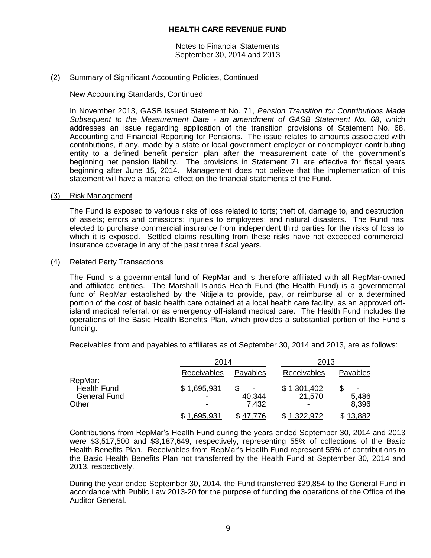Notes to Financial Statements September 30, 2014 and 2013

### (2) Summary of Significant Accounting Policies, Continued

#### New Accounting Standards, Continued

In November 2013, GASB issued Statement No. 71, *Pension Transition for Contributions Made Subsequent to the Measurement Date - an amendment of GASB Statement No. 68*, which addresses an issue regarding application of the transition provisions of Statement No. 68, Accounting and Financial Reporting for Pensions. The issue relates to amounts associated with contributions, if any, made by a state or local government employer or nonemployer contributing entity to a defined benefit pension plan after the measurement date of the government's beginning net pension liability. The provisions in Statement 71 are effective for fiscal years beginning after June 15, 2014. Management does not believe that the implementation of this statement will have a material effect on the financial statements of the Fund.

#### (3) Risk Management

The Fund is exposed to various risks of loss related to torts; theft of, damage to, and destruction of assets; errors and omissions; injuries to employees; and natural disasters. The Fund has elected to purchase commercial insurance from independent third parties for the risks of loss to which it is exposed. Settled claims resulting from these risks have not exceeded commercial insurance coverage in any of the past three fiscal years.

#### (4) Related Party Transactions

The Fund is a governmental fund of RepMar and is therefore affiliated with all RepMar-owned and affiliated entities. The Marshall Islands Health Fund (the Health Fund) is a governmental fund of RepMar established by the Nitijela to provide, pay, or reimburse all or a determined portion of the cost of basic health care obtained at a local health care facility, as an approved offisland medical referral, or as emergency off-island medical care. The Health Fund includes the operations of the Basic Health Benefits Plan, which provides a substantial portion of the Fund's funding.

Receivables from and payables to affiliates as of September 30, 2014 and 2013, are as follows:

|                                                               |             | 2014            |                            | 2013           |  |  |
|---------------------------------------------------------------|-------------|-----------------|----------------------------|----------------|--|--|
|                                                               | Receivables | Payables        | Receivables                | Payables       |  |  |
| RepMar:<br><b>Health Fund</b><br><b>General Fund</b><br>Other | \$1,695,931 | 40,344<br>7,432 | \$1,301,402<br>21,570<br>- | 5,486<br>8,396 |  |  |
|                                                               | \$1,695,931 | \$47,776        | \$1,322,972                | \$13,882       |  |  |

Contributions from RepMar's Health Fund during the years ended September 30, 2014 and 2013 were \$3,517,500 and \$3,187,649, respectively, representing 55% of collections of the Basic Health Benefits Plan. Receivables from RepMar's Health Fund represent 55% of contributions to the Basic Health Benefits Plan not transferred by the Health Fund at September 30, 2014 and 2013, respectively.

During the year ended September 30, 2014, the Fund transferred \$29,854 to the General Fund in accordance with Public Law 2013-20 for the purpose of funding the operations of the Office of the Auditor General.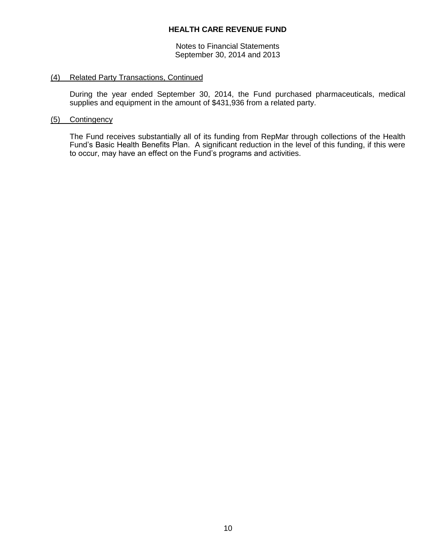Notes to Financial Statements September 30, 2014 and 2013

### (4) Related Party Transactions, Continued

During the year ended September 30, 2014, the Fund purchased pharmaceuticals, medical supplies and equipment in the amount of \$431,936 from a related party.

### (5) Contingency

The Fund receives substantially all of its funding from RepMar through collections of the Health Fund's Basic Health Benefits Plan. A significant reduction in the level of this funding, if this were to occur, may have an effect on the Fund's programs and activities.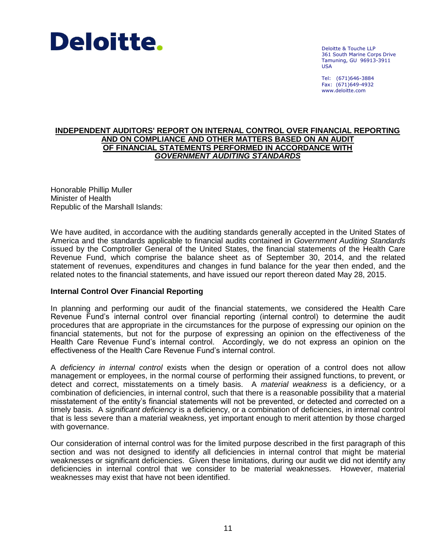

Deloitte & Touche LLP 361 South Marine Corps Drive Tamuning, GU 96913-3911 USA

Tel: (671)646-3884 Fax: (671)649-4932 www.deloitte.com

#### **INDEPENDENT AUDITORS' REPORT ON INTERNAL CONTROL OVER FINANCIAL REPORTING AND ON COMPLIANCE AND OTHER MATTERS BASED ON AN AUDIT OF FINANCIAL STATEMENTS PERFORMED IN ACCORDANCE WITH** *GOVERNMENT AUDITING STANDARDS*

Honorable Phillip Muller Minister of Health Republic of the Marshall Islands:

We have audited, in accordance with the auditing standards generally accepted in the United States of America and the standards applicable to financial audits contained in *Government Auditing Standards* issued by the Comptroller General of the United States, the financial statements of the Health Care Revenue Fund, which comprise the balance sheet as of September 30, 2014, and the related statement of revenues, expenditures and changes in fund balance for the year then ended, and the related notes to the financial statements, and have issued our report thereon dated May 28, 2015.

### **Internal Control Over Financial Reporting**

In planning and performing our audit of the financial statements, we considered the Health Care Revenue Fund's internal control over financial reporting (internal control) to determine the audit procedures that are appropriate in the circumstances for the purpose of expressing our opinion on the financial statements, but not for the purpose of expressing an opinion on the effectiveness of the Health Care Revenue Fund's internal control. Accordingly, we do not express an opinion on the effectiveness of the Health Care Revenue Fund's internal control.

A *deficiency in internal control* exists when the design or operation of a control does not allow management or employees, in the normal course of performing their assigned functions, to prevent, or detect and correct, misstatements on a timely basis. A *material weakness* is a deficiency, or a combination of deficiencies, in internal control, such that there is a reasonable possibility that a material misstatement of the entity's financial statements will not be prevented, or detected and corrected on a timely basis. A *significant deficiency* is a deficiency, or a combination of deficiencies, in internal control that is less severe than a material weakness, yet important enough to merit attention by those charged with governance.

Our consideration of internal control was for the limited purpose described in the first paragraph of this section and was not designed to identify all deficiencies in internal control that might be material weaknesses or significant deficiencies. Given these limitations, during our audit we did not identify any deficiencies in internal control that we consider to be material weaknesses. However, material weaknesses may exist that have not been identified.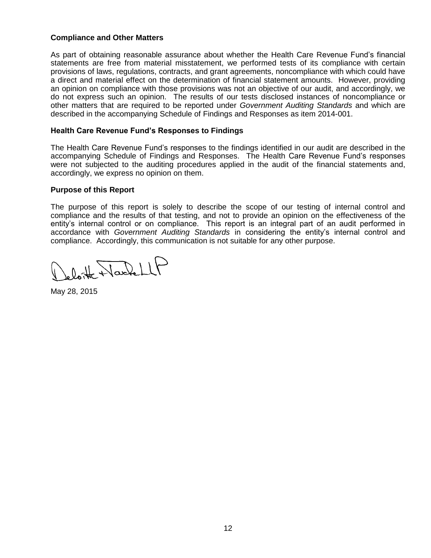# **Compliance and Other Matters**

As part of obtaining reasonable assurance about whether the Health Care Revenue Fund's financial statements are free from material misstatement, we performed tests of its compliance with certain provisions of laws, regulations, contracts, and grant agreements, noncompliance with which could have a direct and material effect on the determination of financial statement amounts. However, providing an opinion on compliance with those provisions was not an objective of our audit, and accordingly, we do not express such an opinion. The results of our tests disclosed instances of noncompliance or other matters that are required to be reported under *Government Auditing Standards* and which are described in the accompanying Schedule of Findings and Responses as item 2014-001.

### **Health Care Revenue Fund's Responses to Findings**

The Health Care Revenue Fund's responses to the findings identified in our audit are described in the accompanying Schedule of Findings and Responses. The Health Care Revenue Fund's responses were not subjected to the auditing procedures applied in the audit of the financial statements and, accordingly, we express no opinion on them.

### **Purpose of this Report**

The purpose of this report is solely to describe the scope of our testing of internal control and compliance and the results of that testing, and not to provide an opinion on the effectiveness of the entity's internal control or on compliance. This report is an integral part of an audit performed in accordance with *Government Auditing Standards* in considering the entity's internal control and compliance. Accordingly, this communication is not suitable for any other purpose.

Ont Harrell

May 28, 2015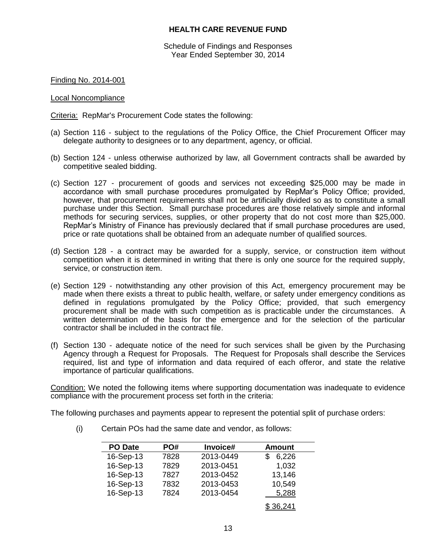Schedule of Findings and Responses Year Ended September 30, 2014

#### Finding No. 2014-001

#### Local Noncompliance

Criteria: RepMar's Procurement Code states the following:

- (a) Section 116 subject to the regulations of the Policy Office, the Chief Procurement Officer may delegate authority to designees or to any department, agency, or official.
- (b) Section 124 unless otherwise authorized by law, all Government contracts shall be awarded by competitive sealed bidding.
- (c) Section 127 procurement of goods and services not exceeding \$25,000 may be made in accordance with small purchase procedures promulgated by RepMar's Policy Office; provided, however, that procurement requirements shall not be artificially divided so as to constitute a small purchase under this Section. Small purchase procedures are those relatively simple and informal methods for securing services, supplies, or other property that do not cost more than \$25,000. RepMar's Ministry of Finance has previously declared that if small purchase procedures are used, price or rate quotations shall be obtained from an adequate number of qualified sources.
- (d) Section 128 a contract may be awarded for a supply, service, or construction item without competition when it is determined in writing that there is only one source for the required supply, service, or construction item.
- (e) Section 129 notwithstanding any other provision of this Act, emergency procurement may be made when there exists a threat to public health, welfare, or safety under emergency conditions as defined in regulations promulgated by the Policy Office; provided, that such emergency procurement shall be made with such competition as is practicable under the circumstances. A written determination of the basis for the emergence and for the selection of the particular contractor shall be included in the contract file.
- (f) Section 130 adequate notice of the need for such services shall be given by the Purchasing Agency through a Request for Proposals. The Request for Proposals shall describe the Services required, list and type of information and data required of each offeror, and state the relative importance of particular qualifications.

Condition: We noted the following items where supporting documentation was inadequate to evidence compliance with the procurement process set forth in the criteria:

The following purchases and payments appear to represent the potential split of purchase orders:

| <b>PO Date</b> | PO#  | Invoice#  | <b>Amount</b> |
|----------------|------|-----------|---------------|
| 16-Sep-13      | 7828 | 2013-0449 | 6,226         |
| 16-Sep-13      | 7829 | 2013-0451 | 1,032         |
| 16-Sep-13      | 7827 | 2013-0452 | 13,146        |
| 16-Sep-13      | 7832 | 2013-0453 | 10,549        |
| 16-Sep-13      | 7824 | 2013-0454 | 5,288         |
|                |      |           | \$36,241      |

(i) Certain POs had the same date and vendor, as follows: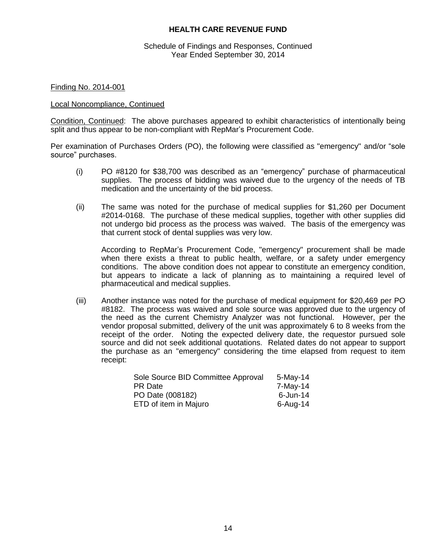### Schedule of Findings and Responses, Continued Year Ended September 30, 2014

### Finding No. 2014-001

#### Local Noncompliance, Continued

Condition, Continued: The above purchases appeared to exhibit characteristics of intentionally being split and thus appear to be non-compliant with RepMar's Procurement Code.

Per examination of Purchases Orders (PO), the following were classified as "emergency" and/or "sole source" purchases.

- (i) PO #8120 for \$38,700 was described as an "emergency" purchase of pharmaceutical supplies. The process of bidding was waived due to the urgency of the needs of TB medication and the uncertainty of the bid process.
- (ii) The same was noted for the purchase of medical supplies for \$1,260 per Document #2014-0168. The purchase of these medical supplies, together with other supplies did not undergo bid process as the process was waived. The basis of the emergency was that current stock of dental supplies was very low.

According to RepMar's Procurement Code, "emergency" procurement shall be made when there exists a threat to public health, welfare, or a safety under emergency conditions. The above condition does not appear to constitute an emergency condition, but appears to indicate a lack of planning as to maintaining a required level of pharmaceutical and medical supplies.

(iii) Another instance was noted for the purchase of medical equipment for \$20,469 per PO #8182. The process was waived and sole source was approved due to the urgency of the need as the current Chemistry Analyzer was not functional. However, per the vendor proposal submitted, delivery of the unit was approximately 6 to 8 weeks from the receipt of the order. Noting the expected delivery date, the requestor pursued sole source and did not seek additional quotations. Related dates do not appear to support the purchase as an "emergency" considering the time elapsed from request to item receipt:

| Sole Source BID Committee Approval | $5$ -May-14  |
|------------------------------------|--------------|
| <b>PR</b> Date                     | $7$ -May-14  |
| PO Date (008182)                   | $6$ -Jun-14  |
| ETD of item in Majuro              | $6 - Aug-14$ |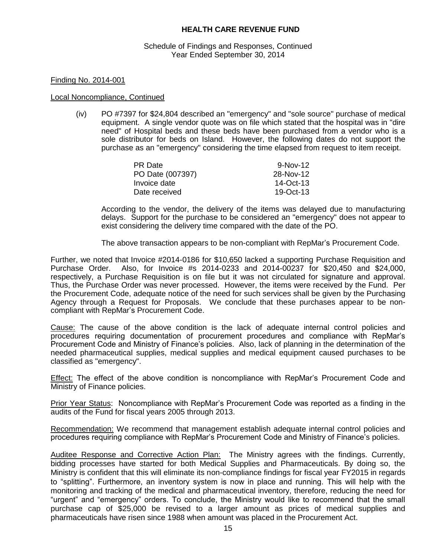### Schedule of Findings and Responses, Continued Year Ended September 30, 2014

### Finding No. 2014-001

#### Local Noncompliance, Continued

(iv) PO #7397 for \$24,804 described an "emergency" and "sole source" purchase of medical equipment. A single vendor quote was on file which stated that the hospital was in "dire need" of Hospital beds and these beds have been purchased from a vendor who is a sole distributor for beds on Island. However, the following dates do not support the purchase as an "emergency" considering the time elapsed from request to item receipt.

| <b>PR</b> Date   | $9-Nov-12$  |
|------------------|-------------|
| PO Date (007397) | 28-Nov-12   |
| Invoice date     | 14-Oct-13   |
| Date received    | $19-Oct-13$ |

According to the vendor, the delivery of the items was delayed due to manufacturing delays. Support for the purchase to be considered an "emergency" does not appear to exist considering the delivery time compared with the date of the PO.

The above transaction appears to be non-compliant with RepMar's Procurement Code.

Further, we noted that Invoice #2014-0186 for \$10,650 lacked a supporting Purchase Requisition and Purchase Order. Also, for Invoice #s 2014-0233 and 2014-00237 for \$20,450 and \$24,000, respectively, a Purchase Requisition is on file but it was not circulated for signature and approval. Thus, the Purchase Order was never processed. However, the items were received by the Fund. Per the Procurement Code, adequate notice of the need for such services shall be given by the Purchasing Agency through a Request for Proposals. We conclude that these purchases appear to be noncompliant with RepMar's Procurement Code.

Cause: The cause of the above condition is the lack of adequate internal control policies and procedures requiring documentation of procurement procedures and compliance with RepMar's Procurement Code and Ministry of Finance's policies. Also, lack of planning in the determination of the needed pharmaceutical supplies, medical supplies and medical equipment caused purchases to be classified as "emergency".

Effect: The effect of the above condition is noncompliance with RepMar's Procurement Code and Ministry of Finance policies.

Prior Year Status: Noncompliance with RepMar's Procurement Code was reported as a finding in the audits of the Fund for fiscal years 2005 through 2013.

Recommendation: We recommend that management establish adequate internal control policies and procedures requiring compliance with RepMar's Procurement Code and Ministry of Finance's policies.

Auditee Response and Corrective Action Plan: The Ministry agrees with the findings. Currently, bidding processes have started for both Medical Supplies and Pharmaceuticals. By doing so, the Ministry is confident that this will eliminate its non-compliance findings for fiscal year FY2015 in regards to "splitting". Furthermore, an inventory system is now in place and running. This will help with the monitoring and tracking of the medical and pharmaceutical inventory, therefore, reducing the need for "urgent" and "emergency" orders. To conclude, the Ministry would like to recommend that the small purchase cap of \$25,000 be revised to a larger amount as prices of medical supplies and pharmaceuticals have risen since 1988 when amount was placed in the Procurement Act.